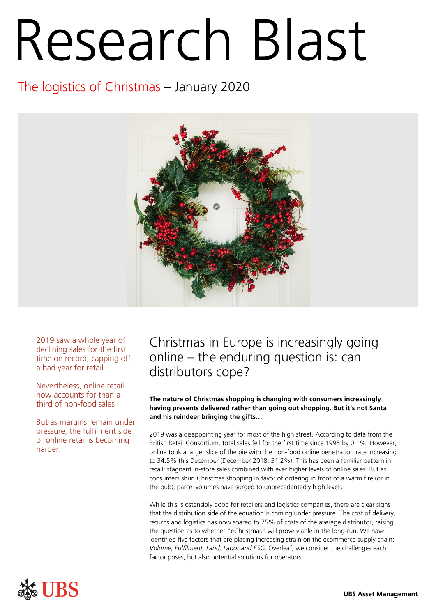# Research Blast

# The logistics of Christmas – January 2020



2019 saw a whole year of declining sales for the first time on record, capping off a bad year for retail.

Nevertheless, online retail now accounts for than a third of non-food sales

But as margins remain under pressure, the fulfilment side of online retail is becoming harder.

# Christmas in Europe is increasingly going online – the enduring question is: can distributors cope?

## **The nature of Christmas shopping is changing with consumers increasingly having presents delivered rather than going out shopping. But it's not Santa and his reindeer bringing the gifts…**

2019 was a disappointing year for most of the high street. According to data from the British Retail Consortium, total sales fell for the first time since 1995 by 0.1%. However, online took a larger slice of the pie with the non-food online penetration rate increasing to 34.5% this December (December 2018: 31.2%). This has been a familiar pattern in retail: stagnant in-store sales combined with ever higher levels of online sales. But as consumers shun Christmas shopping in favor of ordering in front of a warm fire (or in the pub), parcel volumes have surged to unprecedentedly high levels.

While this is ostensibly good for retailers and logistics companies, there are clear signs that the distribution side of the equation is coming under pressure. The cost of delivery, returns and logistics has now soared to 75% of costs of the average distributor, raising the question as to whether "eChristmas" will prove viable in the long-run. We have identified five factors that are placing increasing strain on the ecommerce supply chain: *Volume, Fulfilment, Land, Labor and ESG*. Overleaf, we consider the challenges each factor poses, but also potential solutions for operators:

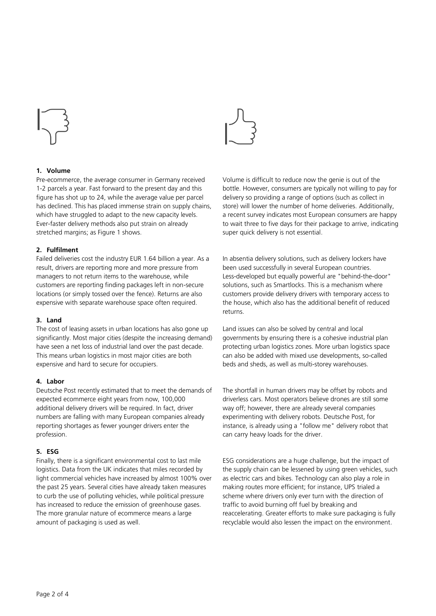

### **1. Volume**

Pre-ecommerce, the average consumer in Germany received 1-2 parcels a year. Fast forward to the present day and this figure has shot up to 24, while the average value per parcel has declined. This has placed immense strain on supply chains, which have struggled to adapt to the new capacity levels. Ever-faster delivery methods also put strain on already stretched margins; as Figure 1 shows.

#### **2. Fulfilment**

Failed deliveries cost the industry EUR 1.64 billion a year. As a result, drivers are reporting more and more pressure from managers to not return items to the warehouse, while customers are reporting finding packages left in non-secure locations (or simply tossed over the fence). Returns are also expensive with separate warehouse space often required.

#### **3. Land**

The cost of leasing assets in urban locations has also gone up significantly. Most major cities (despite the increasing demand) have seen a net loss of industrial land over the past decade. This means urban logistics in most major cities are both expensive and hard to secure for occupiers.

## **4. Labor**

Deutsche Post recently estimated that to meet the demands of expected ecommerce eight years from now, 100,000 additional delivery drivers will be required. In fact, driver numbers are falling with many European companies already reporting shortages as fewer younger drivers enter the profession.

#### **5. ESG**

Finally, there is a significant environmental cost to last mile logistics. Data from the UK indicates that miles recorded by light commercial vehicles have increased by almost 100% over the past 25 years. Several cities have already taken measures to curb the use of polluting vehicles, while political pressure has increased to reduce the emission of greenhouse gases. The more granular nature of ecommerce means a large amount of packaging is used as well.



Volume is difficult to reduce now the genie is out of the bottle. However, consumers are typically not willing to pay for delivery so providing a range of options (such as collect in store) will lower the number of home deliveries. Additionally, a recent survey indicates most European consumers are happy to wait three to five days for their package to arrive, indicating super quick delivery is not essential.

In absentia delivery solutions, such as delivery lockers have been used successfully in several European countries. Less-developed but equally powerful are "behind-the-door" solutions, such as Smartlocks. This is a mechanism where customers provide delivery drivers with temporary access to the house, which also has the additional benefit of reduced returns.

Land issues can also be solved by central and local governments by ensuring there is a cohesive industrial plan protecting urban logistics zones. More urban logistics space can also be added with mixed use developments, so-called beds and sheds, as well as multi-storey warehouses.

The shortfall in human drivers may be offset by robots and driverless cars. Most operators believe drones are still some way off; however, there are already several companies experimenting with delivery robots. Deutsche Post, for instance, is already using a "follow me" delivery robot that can carry heavy loads for the driver.

ESG considerations are a huge challenge, but the impact of the supply chain can be lessened by using green vehicles, such as electric cars and bikes. Technology can also play a role in making routes more efficient; for instance, UPS trialed a scheme where drivers only ever turn with the direction of traffic to avoid burning off fuel by breaking and reaccelerating. Greater efforts to make sure packaging is fully recyclable would also lessen the impact on the environment.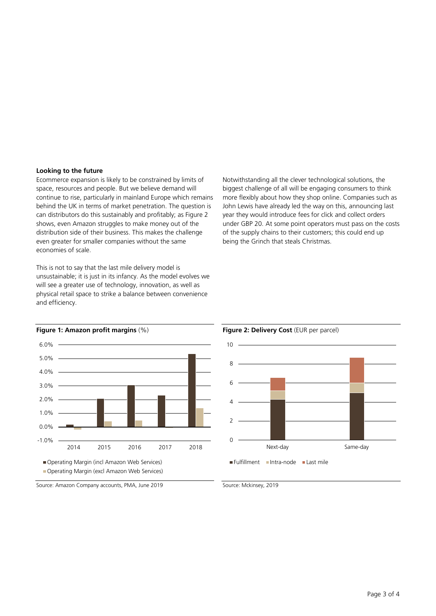#### **Looking to the future**

Ecommerce expansion is likely to be constrained by limits of space, resources and people. But we believe demand will continue to rise, particularly in mainland Europe which remains behind the UK in terms of market penetration. The question is can distributors do this sustainably and profitably; as Figure 2 shows, even Amazon struggles to make money out of the distribution side of their business. This makes the challenge even greater for smaller companies without the same economies of scale.

This is not to say that the last mile delivery model is unsustainable; it is just in its infancy. As the model evolves we will see a greater use of technology, innovation, as well as physical retail space to strike a balance between convenience and efficiency.









Source: Amazon Company accounts, PMA, June 2019

Source: Mckinsey, 2019